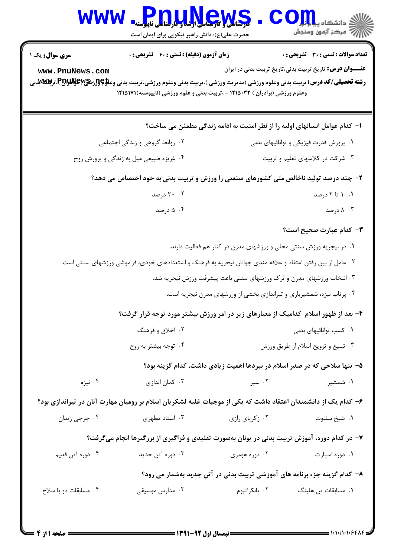| الاد دانشگاه پیام <mark>بر</mark><br>الا مرکز آزمون وسنجش                  |                                        | <b>Pnullews</b><br>حضرت علی(ع): دانش راهبر نیکویی برای ایمان است                                                                                                                                                      | <b>WWW</b>                     |  |
|----------------------------------------------------------------------------|----------------------------------------|-----------------------------------------------------------------------------------------------------------------------------------------------------------------------------------------------------------------------|--------------------------------|--|
| تعداد سوالات : تستى : 30 ٪ تشريحي : 0                                      |                                        | <b>زمان آزمون (دقیقه) : تستی : 60 ٪ تشریحی : 0</b>                                                                                                                                                                    | <b>سری سوال :</b> یک ۱         |  |
| <b>عنـــوان درس:</b> تاریخ تربیت بدنی،تاریخ تربیت بدنی در ایران            |                                        | <b>رشته تحصیلی/کد درس:</b> تربیت بدنی وعلوم ورزشی (مدیریت ورزشی )،تربیت بدنی وعلوم ورزشی،تربیت بدنی وعلا؟{{زشگی\PU\لابل؟،تركیلالله تون<br>وعلوم ورزشی (برادران ) ۱۲۱۵۰۳۲ - ،تربیت بدنی و علوم ورزشی (ناپیوسته)۱۲۱۵۱۷۱ | www.PnuNews.com                |  |
| ا– کدام عوامل انسانهای اولیه را از نظر امنیت به ادامه زندگی مطمئن می ساخت؟ |                                        |                                                                                                                                                                                                                       |                                |  |
|                                                                            | ۰۱ پرورش قدرت فیزیکی و توانائیهای بدنی |                                                                                                                                                                                                                       | ۰۲ روابط گروهی و زندگی اجتماعی |  |
| ۰۳ شرکت در کلاسهای تعلیم و تربیت                                           |                                        | ۰۴ غریزه طبیعی میل به زندگی و پرورش روح                                                                                                                                                                               |                                |  |
|                                                                            |                                        | ۲- چند درصد تولید ناخالص ملی کشورهای صنعتی را ورزش و تربیت بدنی به خود اختصاص می دهد؟                                                                                                                                 |                                |  |
| ۰۱ ۱ تا ۲ درصد                                                             |                                        |                                                                                                                                                                                                                       | ۲۰ ۲۰ درصد                     |  |
| ۰۳ درصد                                                                    |                                        | ۰۴ درصد                                                                                                                                                                                                               |                                |  |
| <b>۳</b> – کدام عبارت صحیح است؟                                            |                                        |                                                                                                                                                                                                                       |                                |  |
| ۰۱ در نیجریه ورزش سنتی محلی و ورزشهای مدرن در کنار هم فعالیت دارند.        |                                        |                                                                                                                                                                                                                       |                                |  |
|                                                                            |                                        | ۰۲ عامل از بین رفتن اعتقاد و علاقه مندی جوانان نیجریه به فرهنگ و استعدادهای خودی، فراموشی ورزشهای سنتی است.                                                                                                           |                                |  |
| ۰۳ انتخاب ورزشهای مدرن و ترک ورزشهای سنتی باعث پیشرفت ورزش نیجریه شد.      |                                        |                                                                                                                                                                                                                       |                                |  |
| ۰۴ پرتاب نیزه، شمشیربازی و تیراندازی بخشی از ورزشهای مدرن نیجریه است.      |                                        |                                                                                                                                                                                                                       |                                |  |
|                                                                            |                                        | ۴– بعد از ظهور اسلام کدامیک از معیارهای زیر در امر ورزش بیشتر مورد توجه قرار گرفت؟                                                                                                                                    |                                |  |
| ۰۱ کسب توانائیهای بدنی                                                     |                                        | ۰۲ اخلاق و فرهنگ                                                                                                                                                                                                      |                                |  |
| ۰۳ تبلیغ و ترویج اسلام از طریق ورزش                                        |                                        | ۰۴ توجه بیشتر به روح                                                                                                                                                                                                  |                                |  |
| ۵– تنها سلاحی که در صدر اسلام در نبردها اهمیت زیادی داشت، کدام گزینه بود؟  |                                        |                                                                                                                                                                                                                       |                                |  |
| ۰۱ شمشیر                                                                   | ۰۲ سپر                                 | ۰۳ کمان اندازی                                                                                                                                                                                                        | ۰۴ نیزه                        |  |
|                                                                            |                                        | ۶– کدام یک از دانشمندان اعتقاد داشت که یکی از موجبات غلبه لشکریان اسلام بر رومیان مهارت آنان در تیراندازی بود؟                                                                                                        |                                |  |
| ٠١. شيخ سلتوت                                                              | ۰۲ زکریای رازی                         | ۰۳ استاد مطهری                                                                                                                                                                                                        | ۰۴ جرجي زيدان                  |  |
|                                                                            |                                        | ۷- در کدام دوره، آموزش تربیت بدنی در یونان بهصورت تقلیدی و فراگیری از بزرگترها انجام میگرفت؟                                                                                                                          |                                |  |
| ۰۱ دوره اسپارت                                                             | ۰۲ دوره هومری                          | ۰۳ دوره آتن جدید                                                                                                                                                                                                      | ۰۴ دوره آتن قديم               |  |
| ۸– کدام گزینه جزء برنامه های آموزشی تربیت بدنی در آتن جدید بهشمار می رود؟  |                                        |                                                                                                                                                                                                                       |                                |  |
| ۰۱ مسابقات پن هلینگ                                                        | ۰۲ پانکراتیوم                          | ۰۳ مدارس موسیقی                                                                                                                                                                                                       | ۰۴ مسابقات دو با سلاح          |  |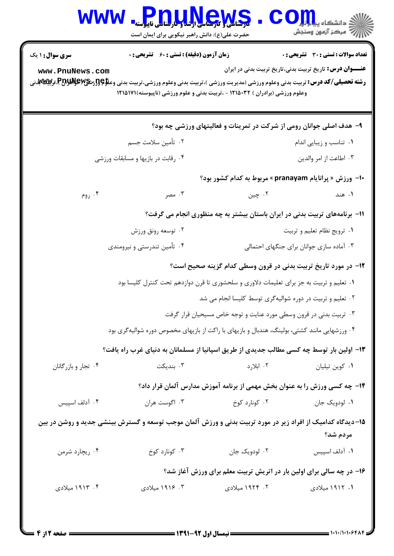| <b>WWW</b>                                                                                                                                                      | و بالمالي و مرسالي المعلومات المعلمي ناپيوسته<br>حضرت علی(ع): دانش راهبر نیکویی برای ایمان است                        | Ver                                                                                          | $\textcolor{red}{\mathbf{1}} \textcolor{red}{\mathbf{O}}$ دانشگاه پیا $\textcolor{red}{\mathbf{I}}$<br>رآب مرڪز آزمون وسنڊش |  |  |
|-----------------------------------------------------------------------------------------------------------------------------------------------------------------|-----------------------------------------------------------------------------------------------------------------------|----------------------------------------------------------------------------------------------|-----------------------------------------------------------------------------------------------------------------------------|--|--|
| <b>سری سوال : ۱ یک</b>                                                                                                                                          | <b>زمان آزمون (دقیقه) : تستی : 60 ٪ تشریحی : 0</b>                                                                    |                                                                                              | تعداد سوالات : تستي : 30 ٪ تشريحي : 0                                                                                       |  |  |
| www.PnuNews.com<br><b>رشته تحصیلی/کد درس:</b> تربیت بدنی وعلوم ورزشی (مدیریت ورزشی )،تربیت بدنی وعلوم ورزشی،تربیت بدنی وعلا؟{{زم <b>َنگی\PAللاپ؟ تربیت س</b> نی |                                                                                                                       | وعلوم ورزشی (برادران ) ۱۲۱۵۰۳۲ - ،تربیت بدنی و علوم ورزشی (ناپیوسته)۱۲۱۵۱۷۱                  | <b>عنـــوان درس:</b> تاریخ تربیت بدنی،تاریخ تربیت بدنی در ایران                                                             |  |  |
|                                                                                                                                                                 |                                                                                                                       | ۹- هدف اصلی جوانان رومی از شرکت در تمرینات و فعالیتهای ورزشی چه بود؟                         |                                                                                                                             |  |  |
|                                                                                                                                                                 | ۰۲ تأمین سلامت جسم                                                                                                    |                                                                                              | ٠١ تناسب و زيبايي اندام                                                                                                     |  |  |
|                                                                                                                                                                 | ۰۴ رقابت در بازیها و مسابقات ورزشی                                                                                    |                                                                                              | ۰۳ اطاعت از امر والدين                                                                                                      |  |  |
|                                                                                                                                                                 |                                                                                                                       | +ا– ورزش « پرانایام pranayam » مربوط به کدام کشور بود؟                                       |                                                                                                                             |  |  |
| ۰۴ روم                                                                                                                                                          | ۰۳ مصر                                                                                                                | ۰۲ چين                                                                                       | ۰۱ هند                                                                                                                      |  |  |
|                                                                                                                                                                 |                                                                                                                       | 1۱– برنامههای تربیت بدنی در ایران باستان بیشتر به چه منظوری انجام می گرفت؟                   |                                                                                                                             |  |  |
|                                                                                                                                                                 | ۰۲ توسعه رونق ورزش                                                                                                    |                                                                                              | ٠١ ترويج نظام تعليم و تربيت                                                                                                 |  |  |
|                                                                                                                                                                 | ۰۴ تأمین تندرستی و نیرومندی                                                                                           |                                                                                              | ۰۳ آماده سازی جوانان برای جنگهای احتمالی                                                                                    |  |  |
|                                                                                                                                                                 |                                                                                                                       | ۱۲– در مورد تاریخ تربیت بدنی در قرون وسطی کدام گزینه صحیح است؟                               |                                                                                                                             |  |  |
|                                                                                                                                                                 |                                                                                                                       | ۰۱ تعلیم و تربیت به جز برای تعلیمات دلاوری و سلحشوری تا قرن دوازدهم تحت کنترل کلیسا بود      |                                                                                                                             |  |  |
|                                                                                                                                                                 | ۰۲ تعلیم و تربیت در دوره شوالیهگری توسط کلیسا انجام می شد                                                             |                                                                                              |                                                                                                                             |  |  |
|                                                                                                                                                                 | ۰۳ تربیت بدنی در قرون وسطی مورد عنایت و توجه خاص مسیحیان قرار گرفت                                                    |                                                                                              |                                                                                                                             |  |  |
|                                                                                                                                                                 |                                                                                                                       | ۰۴ ورزشهایی مانند کشتی، بولینگ، هندبال و بازیهای با راکت از بازیهای مخصوص دوره شوالیهگری بود |                                                                                                                             |  |  |
|                                                                                                                                                                 |                                                                                                                       | ۱۳- اولین بار توسط چه کسی مطالب جدیدی از طریق اسپانیا از مسلمانان به دنیای غرب راه یافت؟     |                                                                                                                             |  |  |
| ۰۴ تجار و بازرگانان                                                                                                                                             | بنديكت $\cdot$                                                                                                        | ۰۲ ابلارد                                                                                    | ٠١ كوين تيليان                                                                                                              |  |  |
|                                                                                                                                                                 |                                                                                                                       | ۱۴- چه کسی ورزش را به عنوان بخش مهمی از برنامه آموزش مدارس آلمان قرار داد؟                   |                                                                                                                             |  |  |
| ۰۴ آدلف اسپیس                                                                                                                                                   | ۰۳ اگوست هران                                                                                                         | ۰۲ کونارد کوخ                                                                                | ٠١ لودويک جان                                                                                                               |  |  |
|                                                                                                                                                                 | ۱۵–دیدگاه کدامیک از افراد زیر در مورد تربیت بدنی و ورزش آلمان موجب توسعه و گسترش بینشی جدید و روشن در بین<br>مردم شد؟ |                                                                                              |                                                                                                                             |  |  |
| ۰۴ ریچارد شرمن                                                                                                                                                  | ۰۳ کونارد کوخ                                                                                                         | ۰۲ لودویک جان                                                                                | ٠١ آدلف اسپيس                                                                                                               |  |  |
|                                                                                                                                                                 |                                                                                                                       | ۱۶- در چه سالی برای اولین بار در اتریش تربیت معلم برای ورزش آغاز شد؟                         |                                                                                                                             |  |  |
| ۰۴ ۱۹۱۳ میلادی                                                                                                                                                  | ۰۳ ۱۹۱۶ میلادی                                                                                                        | ۲. ۱۹۲۴ میلادی                                                                               | ۱. ۱۹۱۲ میلادی                                                                                                              |  |  |
|                                                                                                                                                                 |                                                                                                                       |                                                                                              |                                                                                                                             |  |  |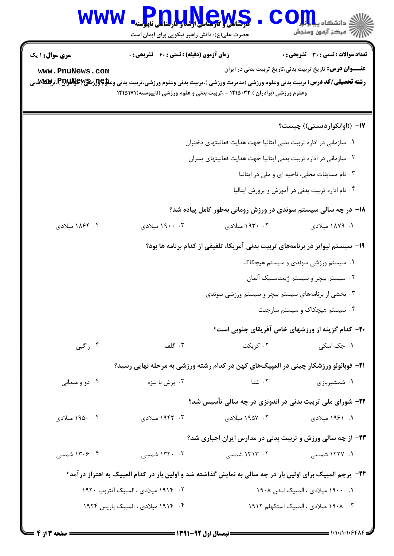| <b>WWW</b>                                                                                                                                                                                                                                                                    | <b>THE LINGWS</b><br>حضرت علی(ع): دانش راهبر نیکویی برای ایمان است                                                                |                                                                                | ر آمرڪز آزمون وسنڊش                                                                                      |
|-------------------------------------------------------------------------------------------------------------------------------------------------------------------------------------------------------------------------------------------------------------------------------|-----------------------------------------------------------------------------------------------------------------------------------|--------------------------------------------------------------------------------|----------------------------------------------------------------------------------------------------------|
| سری سوال : ۱ یک<br>www.PnuNews.com<br><b>رشته تحصیلی/کد درس:</b> تربیت بدنی وعلوم ورزشی (مدیریت ورزشی )،تربیت بدنی وعلوم ورزشی،تربیت بدنی وعلا؟و <b>[زشی PERپرالتواليم الله على الله على</b> الله على الله على الله على الله على الله على الله على الله على الله على الله على | <b>زمان آزمون (دقیقه) : تستی : 60 ٪ تشریحی : 0</b><br>وعلوم ورزشی (برادران ) ۱۲۱۵۰۳۲ - ،تربیت بدنی و علوم ورزشی (ناپیوسته)۱۲۱۵۱۷۱ |                                                                                | تعداد سوالات : تستى : 30 - تشريحي : 0<br><b>عنـــوان درس:</b> تاریخ تربیت بدنی،تاریخ تربیت بدنی در ایران |
|                                                                                                                                                                                                                                                                               |                                                                                                                                   |                                                                                | ۱۷– ((اوانکواردیستی)) چیست؟                                                                              |
|                                                                                                                                                                                                                                                                               |                                                                                                                                   | ۰۱ سازمانی در اداره تربیت بدنی ایتالیا جهت هدایت فعالیتهای دختران              |                                                                                                          |
|                                                                                                                                                                                                                                                                               |                                                                                                                                   | ۰۲ سازمانی در اداره تربیت بدنی ایتالیا جهت هدایت فعالیتهای پسران               |                                                                                                          |
|                                                                                                                                                                                                                                                                               |                                                                                                                                   |                                                                                | ۰۳ نام مسابقات محلی، ناحیه ای و ملی در ایتالیا                                                           |
|                                                                                                                                                                                                                                                                               |                                                                                                                                   |                                                                                | ۰۴ نام اداره تربیت بدنی در آموزش و پرورش ایتالیا                                                         |
|                                                                                                                                                                                                                                                                               |                                                                                                                                   | ۱۸– در چه سالی سیستم سوئدی در ورزش رومانی بهطور کامل پیاده شد؟                 |                                                                                                          |
| ۰۴ ۱۸۶۴ میلادی                                                                                                                                                                                                                                                                | ۰۳ ۱۹۰۰ میلادی                                                                                                                    | ۰۲ ۱۹۳۰ میلادی                                                                 | ۰۱ ۱۸۷۹ میلادی                                                                                           |
|                                                                                                                                                                                                                                                                               |                                                                                                                                   | ۱۹- سیستم لیوایز در برنامههای تربیت بدنی آمریکا، تلفیقی از کدام برنامه ها بود؟ |                                                                                                          |
|                                                                                                                                                                                                                                                                               |                                                                                                                                   |                                                                                | ۰۱ سیستم ورزشی سوئدی و سیستم هیچکاک                                                                      |
|                                                                                                                                                                                                                                                                               |                                                                                                                                   |                                                                                | ۰۲ سیستم بیچر و سیستم ژیمناستیک آلمان                                                                    |
|                                                                                                                                                                                                                                                                               |                                                                                                                                   | ۰۳ بخشی از برنامههای سیستم بیچر و سیستم ورزشی سوئدی                            |                                                                                                          |
|                                                                                                                                                                                                                                                                               |                                                                                                                                   |                                                                                | ۰۴ سیستم هیچکاک و سیستم سارجنت                                                                           |
|                                                                                                                                                                                                                                                                               |                                                                                                                                   |                                                                                | <b>۲۰</b> - کدام گزینه از ورزشهای خاص آفریقای جنوبی است؟                                                 |
| ا راگبی $\cdot$ ۴                                                                                                                                                                                                                                                             | ۰۳ گلف                                                                                                                            | ۰۲ کریکت                                                                       | ۰۱ جک اسکی                                                                                               |
|                                                                                                                                                                                                                                                                               | <b>۲۱</b> – فوبائولو ورزشکار چینی در المپیکهای کهن در کدام رشته ورزشی به مرحله نهایی رسید؟                                        |                                                                                |                                                                                                          |
| ۰۴ دو و میدانی                                                                                                                                                                                                                                                                | ۰۳ پرش با نیزه                                                                                                                    | ۰۲ شنا                                                                         | ۰۱ شمشیربازی                                                                                             |
|                                                                                                                                                                                                                                                                               |                                                                                                                                   | ۲۲- شورای ملی تربیت بدنی در اندونزی در چه سالی تأسیس شد؟                       |                                                                                                          |
| ۰۴ ۱۹۵۰ میلادی                                                                                                                                                                                                                                                                | ۰۳ - ۱۹۴۲ میلادی                                                                                                                  | ۰۲ ۱۹۵۷ میلادی                                                                 | ۱. ۱۹۶۱ میلادی                                                                                           |
|                                                                                                                                                                                                                                                                               |                                                                                                                                   | <b>۲۳</b> - از چه سالی ورزش و تربیت بدنی در مدارس ایران اجباری شد؟             |                                                                                                          |
| ۰۴ ۱۳۰۶ شمسی                                                                                                                                                                                                                                                                  | ۰۳ - ۱۳۲۰ شمسی                                                                                                                    | ۰۲ - ۱۳۱۳ شمسی                                                                 | ۰۱ ۱۲۲۷ شمسی                                                                                             |
|                                                                                                                                                                                                                                                                               | ۲۴- پرچم المپیک برای اولین بار در چه سالی به نمایش گذاشته شد و اولین بار در کدام المپیک به اهتزاز درآمد؟                          |                                                                                |                                                                                                          |
|                                                                                                                                                                                                                                                                               | ۲. ۱۹۱۴ میلادی ، المپیک آنتروپ ۱۹۲۰                                                                                               |                                                                                | ۰۱ ۱۹۰۰ میلادی ، المپیک لندن ۱۹۰۸                                                                        |
| ۰۴ ۱۹۱۴ میلادی ، المپیک پاریس ۱۹۲۴                                                                                                                                                                                                                                            |                                                                                                                                   |                                                                                | ۰۳ ـ ۱۹۰۸ میلادی ، المپیک استکهلم ۱۹۱۲                                                                   |